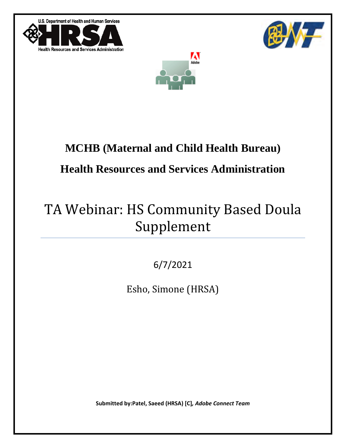U.S. Department of Health and Human Services







# **MCHB (Maternal and Child Health Bureau)**

## **Health Resources and Services Administration**

## TA Webinar: HS Community Based Doula Supplement

6/7/2021

Esho, Simone (HRSA)

**Submitted by:Patel, Saeed (HRSA) [C]***, Adobe Connect Team*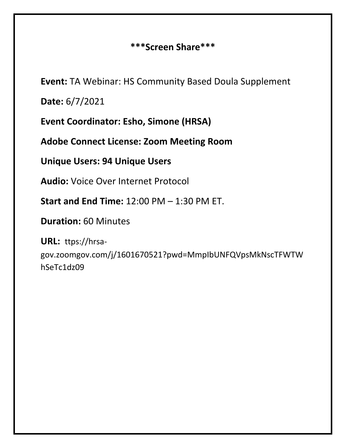#### **\*\*\*Screen Share\*\*\***

**Event:** TA Webinar: HS Community Based Doula Supplement

**Date:** 6/7/2021

**Event Coordinator: Esho, Simone (HRSA)**

**Adobe Connect License: Zoom Meeting Room**

**Unique Users: 94 Unique Users**

**Audio:** Voice Over Internet Protocol

**Start and End Time:** 12:00 PM – 1:30 PM ET.

**Duration:** 60 Minutes

**URL:** ttps://hrsagov.zoomgov.com/j/1601670521?pwd=MmpIbUNFQVpsMkNscTFWTW hSeTc1dz09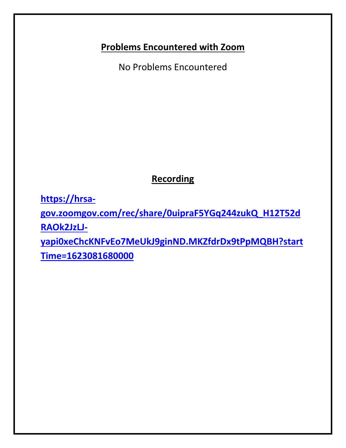#### **Problems Encountered with Zoom**

No Problems Encountered

### **Recording**

**[https://hrsa-](https://hrsa-gov.zoomgov.com/rec/share/0uipraF5YGq244zukQ_H12T52dRAOk2JzLJ-yapi0xeChcKNFvEo7MeUkJ9ginND.MKZfdrDx9tPpMQBH?startTime=1623081680000)**

**[gov.zoomgov.com/rec/share/0uipraF5YGq244zukQ\\_H12T52d](https://hrsa-gov.zoomgov.com/rec/share/0uipraF5YGq244zukQ_H12T52dRAOk2JzLJ-yapi0xeChcKNFvEo7MeUkJ9ginND.MKZfdrDx9tPpMQBH?startTime=1623081680000) [RAOk2JzLJ-](https://hrsa-gov.zoomgov.com/rec/share/0uipraF5YGq244zukQ_H12T52dRAOk2JzLJ-yapi0xeChcKNFvEo7MeUkJ9ginND.MKZfdrDx9tPpMQBH?startTime=1623081680000)**

**[yapi0xeChcKNFvEo7MeUkJ9ginND.MKZfdrDx9tPpMQBH?start](https://hrsa-gov.zoomgov.com/rec/share/0uipraF5YGq244zukQ_H12T52dRAOk2JzLJ-yapi0xeChcKNFvEo7MeUkJ9ginND.MKZfdrDx9tPpMQBH?startTime=1623081680000) [Time=1623081680000](https://hrsa-gov.zoomgov.com/rec/share/0uipraF5YGq244zukQ_H12T52dRAOk2JzLJ-yapi0xeChcKNFvEo7MeUkJ9ginND.MKZfdrDx9tPpMQBH?startTime=1623081680000)**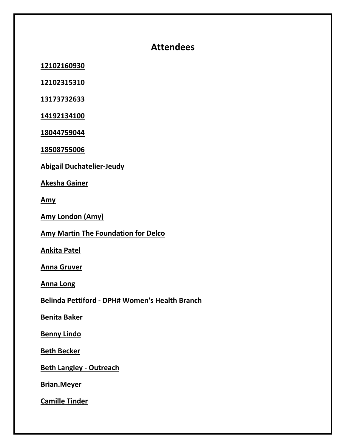#### **Attendees**

**12102160930** 

**12102315310** 

**13173732633** 

**14192134100** 

**18044759044** 

**18508755006** 

**Abigail Duchatelier-Jeudy** 

**Akesha Gainer**

**Amy**

**Amy London (Amy)**

**Amy Martin The Foundation for Delco**

**Ankita Patel**

**Anna Gruver**

**Anna Long**

**Belinda Pettiford - DPH# Women's Health Branch**

**Benita Baker**

**Benny Lindo**

**Beth Becker**

**Beth Langley - Outreach** 

**Brian.Meyer**

**Camille Tinder**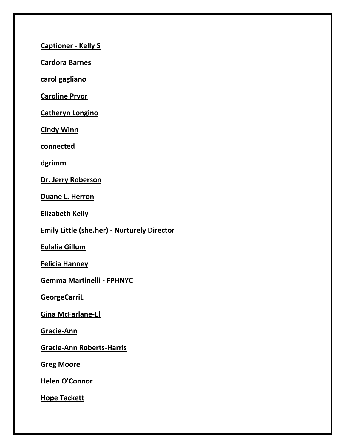**Captioner - Kelly S**

**Cardora Barnes**

**carol gagliano**

**Caroline Pryor**

**Catheryn Longino**

**Cindy Winn**

**connected**

**dgrimm**

**Dr. Jerry Roberson**

**Duane L. Herron**

**Elizabeth Kelly**

**Emily Little (she.her) - Nurturely Director**

**Eulalia Gillum**

**Felicia Hanney**

**Gemma Martinelli - FPHNYC** 

**GeorgeCarriL**

**Gina McFarlane-El**

**Gracie-Ann**

**Gracie-Ann Roberts-Harris** 

**Greg Moore**

**Helen O'Connor**

**Hope Tackett**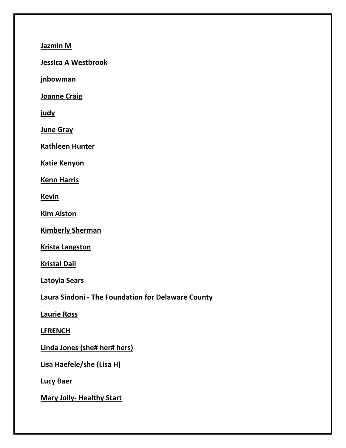**Jazmin M**

**Jessica A Westbrook**

**jnbowman** 

**Joanne Craig**

**judy** 

**June Gray**

**Kathleen Hunter**

**Katie Kenyon**

**Kenn Harris**

**Kevin**

**Kim Alston**

**Kimberly Sherman**

**Krista Langston**

**Kristal Dail**

**Latoyia Sears**

**Laura Sindoni - The Foundation for Delaware County**

**Laurie Ross**

**LFRENCH**

**Linda Jones (she# her# hers)**

**Lisa Haefele/she (Lisa H)**

**Lucy Baer**

**Mary Jolly- Healthy Start**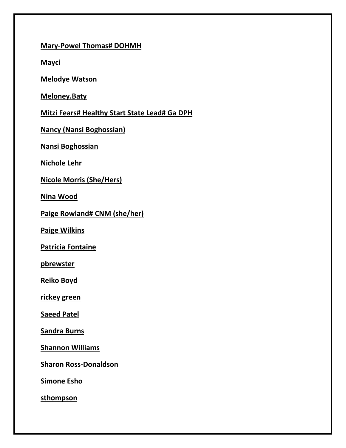**Mary-Powel Thomas# DOHMH**

**Mayci**

**Melodye Watson**

**Meloney.Baty**

**Mitzi Fears# Healthy Start State Lead# Ga DPH**

**Nancy (Nansi Boghossian)**

**Nansi Boghossian**

**Nichole Lehr** 

**Nicole Morris (She/Hers)**

**Nina Wood**

**Paige Rowland# CNM (she/her)**

**Paige Wilkins**

**Patricia Fontaine**

**pbrewster** 

**Reiko Boyd**

**rickey green**

**Saeed Patel**

**Sandra Burns**

**Shannon Williams**

**Sharon Ross-Donaldson**

**Simone Esho**

**sthompson**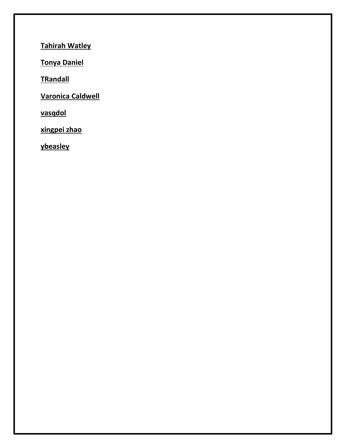**Tahirah Watley**

**Tonya Daniel**

**TRandall** 

**Varonica Caldwell**

**vasqdol** 

**xingpei zhao**

**ybeasley**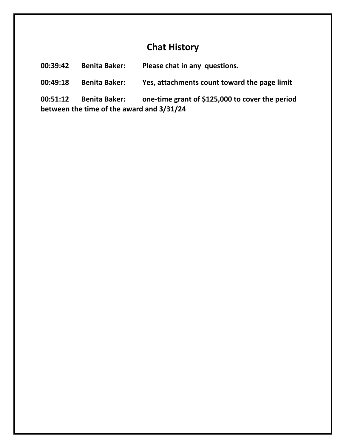#### **Chat History**

**00:39:42 Benita Baker: Please chat in any questions.**

**00:49:18 Benita Baker: Yes, attachments count toward the page limit**

**00:51:12 Benita Baker: one-time grant of \$125,000 to cover the period between the time of the award and 3/31/24**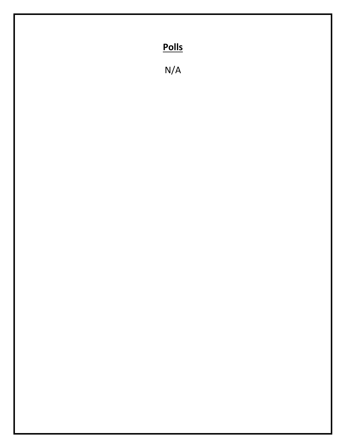## **Polls**

N/A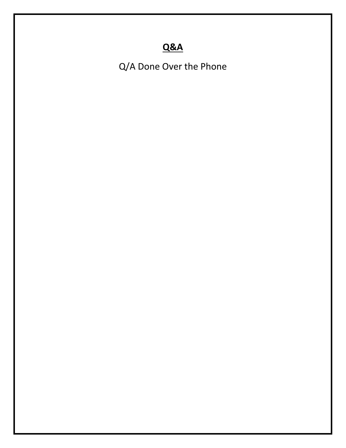### **Q&A**

Q/A Done Over the Phone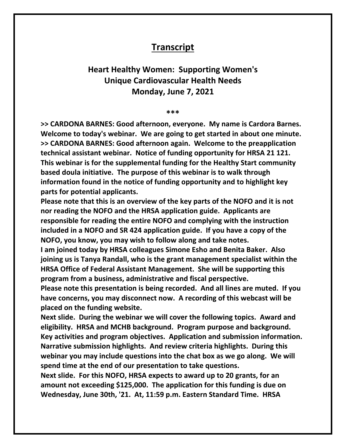#### **Transcript**

#### **Heart Healthy Women: Supporting Women's Unique Cardiovascular Health Needs Monday, June 7, 2021**

#### **\*\*\***

**>> CARDONA BARNES: Good afternoon, everyone. My name is Cardora Barnes. Welcome to today's webinar. We are going to get started in about one minute. >> CARDONA BARNES: Good afternoon again. Welcome to the preapplication technical assistant webinar. Notice of funding opportunity for HRSA 21 121. This webinar is for the supplemental funding for the Healthy Start community based doula initiative. The purpose of this webinar is to walk through information found in the notice of funding opportunity and to highlight key parts for potential applicants.** 

**Please note that this is an overview of the key parts of the NOFO and it is not nor reading the NOFO and the HRSA application guide. Applicants are responsible for reading the entire NOFO and complying with the instruction included in a NOFO and SR 424 application guide. If you have a copy of the NOFO, you know, you may wish to follow along and take notes.** 

**I am joined today by HRSA colleagues Simone Esho and Benita Baker. Also joining us is Tanya Randall, who is the grant management specialist within the HRSA Office of Federal Assistant Management. She will be supporting this program from a business, administrative and fiscal perspective.**

**Please note this presentation is being recorded. And all lines are muted. If you have concerns, you may disconnect now. A recording of this webcast will be placed on the funding website.**

**Next slide. During the webinar we will cover the following topics. Award and eligibility. HRSA and MCHB background. Program purpose and background. Key activities and program objectives. Application and submission information. Narrative submission highlights. And review criteria highlights. During this webinar you may include questions into the chat box as we go along. We will spend time at the end of our presentation to take questions.**

**Next slide. For this NOFO, HRSA expects to award up to 20 grants, for an amount not exceeding \$125,000. The application for this funding is due on Wednesday, June 30th, '21. At, 11:59 p.m. Eastern Standard Time. HRSA**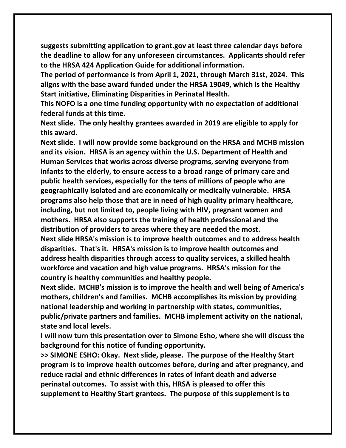**suggests submitting application to grant.gov at least three calendar days before the deadline to allow for any unforeseen circumstances. Applicants should refer to the HRSA 424 Application Guide for additional information.**

**The period of performance is from April 1, 2021, through March 31st, 2024. This aligns with the base award funded under the HRSA 19049, which is the Healthy Start initiative, Eliminating Disparities in Perinatal Health.**

**This NOFO is a one time funding opportunity with no expectation of additional federal funds at this time.**

**Next slide. The only healthy grantees awarded in 2019 are eligible to apply for this award.**

**Next slide. I will now provide some background on the HRSA and MCHB mission and its vision. HRSA is an agency within the U.S. Department of Health and Human Services that works across diverse programs, serving everyone from infants to the elderly, to ensure access to a broad range of primary care and public health services, especially for the tens of millions of people who are geographically isolated and are economically or medically vulnerable. HRSA programs also help those that are in need of high quality primary healthcare, including, but not limited to, people living with HIV, pregnant women and mothers. HRSA also supports the training of health professional and the distribution of providers to areas where they are needed the most. Next slide HRSA's mission is to improve health outcomes and to address health disparities. That's it. HRSA's mission is to improve health outcomes and address health disparities through access to quality services, a skilled health workforce and vacation and high value programs. HRSA's mission for the country is healthy communities and healthy people.**

**Next slide. MCHB's mission is to improve the health and well being of America's mothers, children's and families. MCHB accomplishes its mission by providing national leadership and working in partnership with states, communities, public/private partners and families. MCHB implement activity on the national, state and local levels.**

**I will now turn this presentation over to Simone Esho, where she will discuss the background for this notice of funding opportunity.**

**>> SIMONE ESHO: Okay. Next slide, please. The purpose of the Healthy Start program is to improve health outcomes before, during and after pregnancy, and reduce racial and ethnic differences in rates of infant death and adverse perinatal outcomes. To assist with this, HRSA is pleased to offer this supplement to Healthy Start grantees. The purpose of this supplement is to**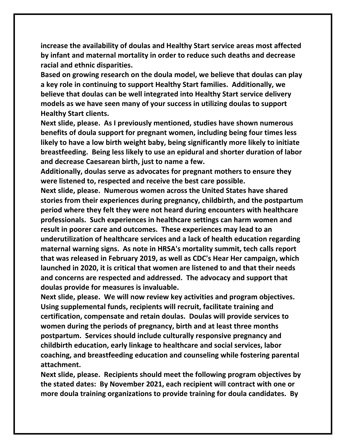**increase the availability of doulas and Healthy Start service areas most affected by infant and maternal mortality in order to reduce such deaths and decrease racial and ethnic disparities.**

**Based on growing research on the doula model, we believe that doulas can play a key role in continuing to support Healthy Start families. Additionally, we believe that doulas can be well integrated into Healthy Start service delivery models as we have seen many of your success in utilizing doulas to support Healthy Start clients.**

**Next slide, please. As I previously mentioned, studies have shown numerous benefits of doula support for pregnant women, including being four times less likely to have a low birth weight baby, being significantly more likely to initiate breastfeeding. Being less likely to use an epidural and shorter duration of labor and decrease Caesarean birth, just to name a few.**

**Additionally, doulas serve as advocates for pregnant mothers to ensure they were listened to, respected and receive the best care possible.**

**Next slide, please. Numerous women across the United States have shared stories from their experiences during pregnancy, childbirth, and the postpartum period where they felt they were not heard during encounters with healthcare professionals. Such experiences in healthcare settings can harm women and result in poorer care and outcomes. These experiences may lead to an underutilization of healthcare services and a lack of health education regarding maternal warning signs. As note in HRSA's mortality summit, tech calls report that was released in February 2019, as well as CDC's Hear Her campaign, which launched in 2020, it is critical that women are listened to and that their needs and concerns are respected and addressed. The advocacy and support that doulas provide for measures is invaluable.**

**Next slide, please. We will now review key activities and program objectives. Using supplemental funds, recipients will recruit, facilitate training and certification, compensate and retain doulas. Doulas will provide services to women during the periods of pregnancy, birth and at least three months postpartum. Services should include culturally responsive pregnancy and childbirth education, early linkage to healthcare and social services, labor coaching, and breastfeeding education and counseling while fostering parental attachment.** 

**Next slide, please. Recipients should meet the following program objectives by the stated dates: By November 2021, each recipient will contract with one or more doula training organizations to provide training for doula candidates. By**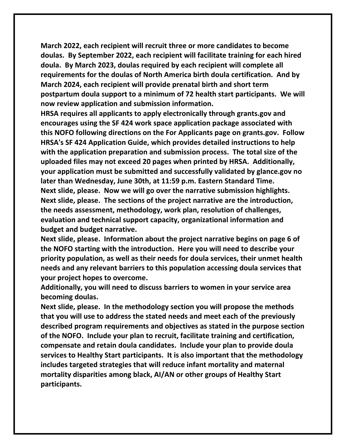**March 2022, each recipient will recruit three or more candidates to become doulas. By September 2022, each recipient will facilitate training for each hired doula. By March 2023, doulas required by each recipient will complete all requirements for the doulas of North America birth doula certification. And by March 2024, each recipient will provide prenatal birth and short term postpartum doula support to a minimum of 72 health start participants. We will now review application and submission information.**

**HRSA requires all applicants to apply electronically through grants.gov and encourages using the SF 424 work space application package associated with this NOFO following directions on the For Applicants page on grants.gov. Follow HRSA's SF 424 Application Guide, which provides detailed instructions to help with the application preparation and submission process. The total size of the uploaded files may not exceed 20 pages when printed by HRSA. Additionally, your application must be submitted and successfully validated by glance.gov no later than Wednesday, June 30th, at 11:59 p.m. Eastern Standard Time. Next slide, please. Now we will go over the narrative submission highlights. Next slide, please. The sections of the project narrative are the introduction, the needs assessment, methodology, work plan, resolution of challenges, evaluation and technical support capacity, organizational information and budget and budget narrative.**

**Next slide, please. Information about the project narrative begins on page 6 of the NOFO starting with the introduction. Here you will need to describe your priority population, as well as their needs for doula services, their unmet health needs and any relevant barriers to this population accessing doula services that your project hopes to overcome.**

**Additionally, you will need to discuss barriers to women in your service area becoming doulas.**

**Next slide, please. In the methodology section you will propose the methods that you will use to address the stated needs and meet each of the previously described program requirements and objectives as stated in the purpose section of the NOFO. Include your plan to recruit, facilitate training and certification, compensate and retain doula candidates. Include your plan to provide doula services to Healthy Start participants. It is also important that the methodology includes targeted strategies that will reduce infant mortality and maternal mortality disparities among black, AI/AN or other groups of Healthy Start participants.**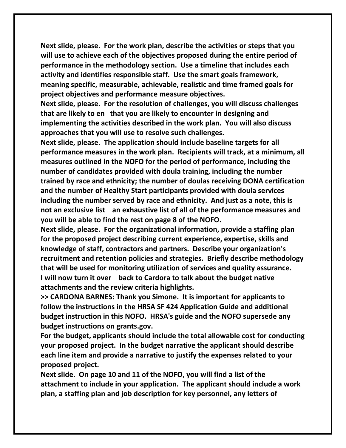**Next slide, please. For the work plan, describe the activities or steps that you will use to achieve each of the objectives proposed during the entire period of performance in the methodology section. Use a timeline that includes each activity and identifies responsible staff. Use the smart goals framework, meaning specific, measurable, achievable, realistic and time framed goals for project objectives and performance measure objectives.**

**Next slide, please. For the resolution of challenges, you will discuss challenges that are likely to en that you are likely to encounter in designing and implementing the activities described in the work plan. You will also discuss approaches that you will use to resolve such challenges.**

**Next slide, please. The application should include baseline targets for all performance measures in the work plan. Recipients will track, at a minimum, all measures outlined in the NOFO for the period of performance, including the number of candidates provided with doula training, including the number trained by race and ethnicity; the number of doulas receiving DONA certification and the number of Healthy Start participants provided with doula services including the number served by race and ethnicity. And just as a note, this is not an exclusive list an exhaustive list of all of the performance measures and you will be able to find the rest on page 8 of the NOFO.**

**Next slide, please. For the organizational information, provide a staffing plan for the proposed project describing current experience, expertise, skills and knowledge of staff, contractors and partners. Describe your organization's recruitment and retention policies and strategies. Briefly describe methodology that will be used for monitoring utilization of services and quality assurance. I will now turn it over back to Cardora to talk about the budget native attachments and the review criteria highlights.**

**>> CARDONA BARNES: Thank you Simone. It is important for applicants to follow the instructions in the HRSA SF 424 Application Guide and additional budget instruction in this NOFO. HRSA's guide and the NOFO supersede any budget instructions on grants.gov.**

**For the budget, applicants should include the total allowable cost for conducting your proposed project. In the budget narrative the applicant should describe each line item and provide a narrative to justify the expenses related to your proposed project.**

**Next slide. On page 10 and 11 of the NOFO, you will find a list of the attachment to include in your application. The applicant should include a work plan, a staffing plan and job description for key personnel, any letters of**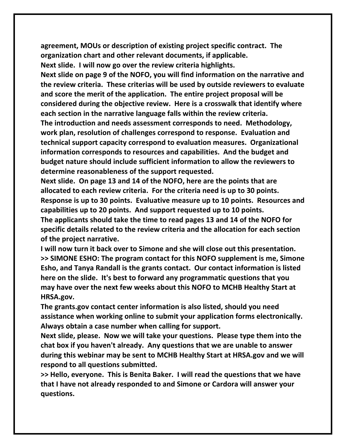**agreement, MOUs or description of existing project specific contract. The organization chart and other relevant documents, if applicable.**

**Next slide. I will now go over the review criteria highlights.**

**Next slide on page 9 of the NOFO, you will find information on the narrative and the review criteria. These criterias will be used by outside reviewers to evaluate and score the merit of the application. The entire project proposal will be considered during the objective review. Here is a crosswalk that identify where each section in the narrative language falls within the review criteria. The introduction and needs assessment corresponds to need. Methodology, work plan, resolution of challenges correspond to response. Evaluation and technical support capacity correspond to evaluation measures. Organizational information corresponds to resources and capabilities. And the budget and** 

**budget nature should include sufficient information to allow the reviewers to determine reasonableness of the support requested.**

**Next slide. On page 13 and 14 of the NOFO, here are the points that are allocated to each review criteria. For the criteria need is up to 30 points. Response is up to 30 points. Evaluative measure up to 10 points. Resources and capabilities up to 20 points. And support requested up to 10 points. The applicants should take the time to read pages 13 and 14 of the NOFO for specific details related to the review criteria and the allocation for each section of the project narrative.**

**I will now turn it back over to Simone and she will close out this presentation. >> SIMONE ESHO: The program contact for this NOFO supplement is me, Simone Esho, and Tanya Randall is the grants contact. Our contact information is listed here on the slide. It's best to forward any programmatic questions that you may have over the next few weeks about this NOFO to MCHB Healthy Start at HRSA.gov.**

**The grants.gov contact center information is also listed, should you need assistance when working online to submit your application forms electronically. Always obtain a case number when calling for support.**

**Next slide, please. Now we will take your questions. Please type them into the chat box if you haven't already. Any questions that we are unable to answer during this webinar may be sent to MCHB Healthy Start at HRSA.gov and we will respond to all questions submitted.**

**>> Hello, everyone. This is Benita Baker. I will read the questions that we have that I have not already responded to and Simone or Cardora will answer your questions.**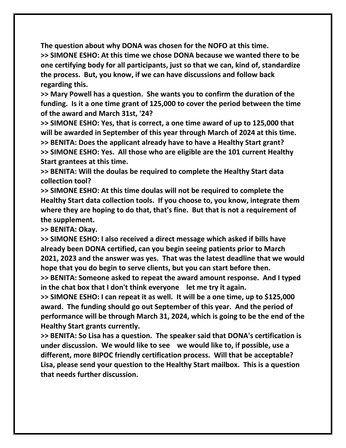**The question about why DONA was chosen for the NOFO at this time. >> SIMONE ESHO: At this time we chose DONA because we wanted there to be one certifying body for all participants, just so that we can, kind of, standardize the process. But, you know, if we can have discussions and follow back regarding this.**

**>> Mary Powell has a question. She wants you to confirm the duration of the funding. Is it a one time grant of 125,000 to cover the period between the time of the award and March 31st, '24?**

**>> SIMONE ESHO: Yes, that is correct, a one time award of up to 125,000 that will be awarded in September of this year through March of 2024 at this time. >> BENITA: Does the applicant already have to have a Healthy Start grant? >> SIMONE ESHO: Yes. All those who are eligible are the 101 current Healthy Start grantees at this time.**

**>> BENITA: Will the doulas be required to complete the Healthy Start data collection tool?**

**>> SIMONE ESHO: At this time doulas will not be required to complete the Healthy Start data collection tools. If you choose to, you know, integrate them where they are hoping to do that, that's fine. But that is not a requirement of the supplement.**

**>> BENITA: Okay.**

**>> SIMONE ESHO: I also received a direct message which asked if bills have already been DONA certified, can you begin seeing patients prior to March 2021, 2023 and the answer was yes. That was the latest deadline that we would hope that you do begin to serve clients, but you can start before then.**

**>> BENITA: Someone asked to repeat the award amount response. And I typed in the chat box that I don't think everyone let me try it again.**

**>> SIMONE ESHO: I can repeat it as well. It will be a one time, up to \$125,000 award. The funding should go out September of this year. And the period of performance will be through March 31, 2024, which is going to be the end of the Healthy Start grants currently.**

**>> BENITA: So Lisa has a question. The speaker said that DONA's certification is under discussion. We would like to see we would like to, if possible, use a different, more BIPOC friendly certification process. Will that be acceptable? Lisa, please send your question to the Healthy Start mailbox. This is a question that needs further discussion.**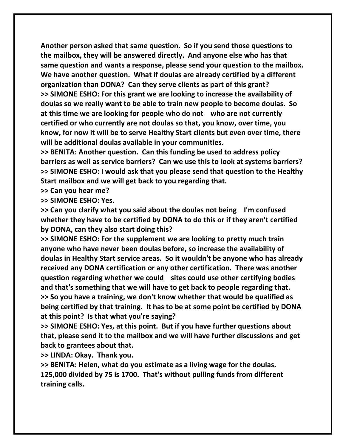**Another person asked that same question. So if you send those questions to the mailbox, they will be answered directly. And anyone else who has that same question and wants a response, please send your question to the mailbox. We have another question. What if doulas are already certified by a different organization than DONA? Can they serve clients as part of this grant? >> SIMONE ESHO: For this grant we are looking to increase the availability of doulas so we really want to be able to train new people to become doulas. So at this time we are looking for people who do not who are not currently certified or who currently are not doulas so that, you know, over time, you know, for now it will be to serve Healthy Start clients but even over time, there will be additional doulas available in your communities.**

**>> BENITA: Another question. Can this funding be used to address policy barriers as well as service barriers? Can we use this to look at systems barriers? >> SIMONE ESHO: I would ask that you please send that question to the Healthy Start mailbox and we will get back to you regarding that.** 

**>> Can you hear me?**

**>> SIMONE ESHO: Yes.**

**>> Can you clarify what you said about the doulas not being I'm confused whether they have to be certified by DONA to do this or if they aren't certified by DONA, can they also start doing this?**

**>> SIMONE ESHO: For the supplement we are looking to pretty much train anyone who have never been doulas before, so increase the availability of doulas in Healthy Start service areas. So it wouldn't be anyone who has already received any DONA certification or any other certification. There was another question regarding whether we could sites could use other certifying bodies and that's something that we will have to get back to people regarding that. >> So you have a training, we don't know whether that would be qualified as being certified by that training. It has to be at some point be certified by DONA at this point? Is that what you're saying?**

**>> SIMONE ESHO: Yes, at this point. But if you have further questions about that, please send it to the mailbox and we will have further discussions and get back to grantees about that.**

**>> LINDA: Okay. Thank you.**

**>> BENITA: Helen, what do you estimate as a living wage for the doulas. 125,000 divided by 75 is 1700. That's without pulling funds from different training calls.**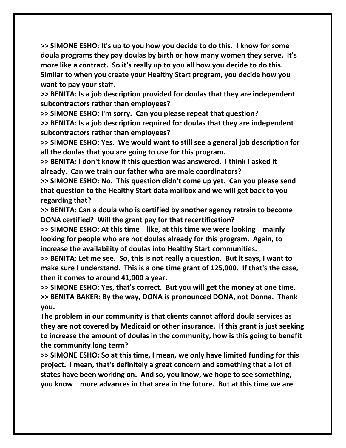**>> SIMONE ESHO: It's up to you how you decide to do this. I know for some doula programs they pay doulas by birth or how many women they serve. It's more like a contract. So it's really up to you all how you decide to do this. Similar to when you create your Healthy Start program, you decide how you want to pay your staff.**

**>> BENITA: Is a job description provided for doulas that they are independent subcontractors rather than employees?**

**>> SIMONE ESHO: I'm sorry. Can you please repeat that question? >> BENITA: Is a job description required for doulas that they are independent subcontractors rather than employees?**

**>> SIMONE ESHO: Yes. We would want to still see a general job description for all the doulas that you are going to use for this program.**

**>> BENITA: I don't know if this question was answered. I think I asked it already. Can we train our father who are male coordinators?**

**>> SIMONE ESHO: No. This question didn't come up yet. Can you please send that question to the Healthy Start data mailbox and we will get back to you regarding that?**

**>> BENITA: Can a doula who is certified by another agency retrain to become DONA certified? Will the grant pay for that recertification?**

**>> SIMONE ESHO: At this time like, at this time we were looking mainly looking for people who are not doulas already for this program. Again, to increase the availability of doulas into Healthy Start communities.**

**>> BENITA: Let me see. So, this is not really a question. But it says, I want to make sure I understand. This is a one time grant of 125,000. If that's the case, then it comes to around 41,000 a year.**

**>> SIMONE ESHO: Yes, that's correct. But you will get the money at one time. >> BENITA BAKER: By the way, DONA is pronounced DONA, not Donna. Thank you.**

**The problem in our community is that clients cannot afford doula services as they are not covered by Medicaid or other insurance. If this grant is just seeking to increase the amount of doulas in the community, how is this going to benefit the community long term?**

**>> SIMONE ESHO: So at this time, I mean, we only have limited funding for this project. I mean, that's definitely a great concern and something that a lot of states have been working on. And so, you know, we hope to see something, you know more advances in that area in the future. But at this time we are**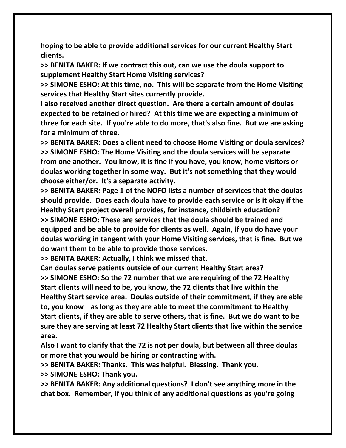**hoping to be able to provide additional services for our current Healthy Start clients.**

**>> BENITA BAKER: If we contract this out, can we use the doula support to supplement Healthy Start Home Visiting services?**

**>> SIMONE ESHO: At this time, no. This will be separate from the Home Visiting services that Healthy Start sites currently provide.**

**I also received another direct question. Are there a certain amount of doulas expected to be retained or hired? At this time we are expecting a minimum of three for each site. If you're able to do more, that's also fine. But we are asking for a minimum of three.**

**>> BENITA BAKER: Does a client need to choose Home Visiting or doula services? >> SIMONE ESHO: The Home Visiting and the doula services will be separate from one another. You know, it is fine if you have, you know, home visitors or doulas working together in some way. But it's not something that they would choose either/or. It's a separate activity.**

**>> BENITA BAKER: Page 1 of the NOFO lists a number of services that the doulas should provide. Does each doula have to provide each service or is it okay if the Healthy Start project overall provides, for instance, childbirth education? >> SIMONE ESHO: These are services that the doula should be trained and equipped and be able to provide for clients as well. Again, if you do have your doulas working in tangent with your Home Visiting services, that is fine. But we do want them to be able to provide those services.**

**>> BENITA BAKER: Actually, I think we missed that.**

**Can doulas serve patients outside of our current Healthy Start area? >> SIMONE ESHO: So the 72 number that we are requiring of the 72 Healthy Start clients will need to be, you know, the 72 clients that live within the Healthy Start service area. Doulas outside of their commitment, if they are able to, you know as long as they are able to meet the commitment to Healthy Start clients, if they are able to serve others, that is fine. But we do want to be sure they are serving at least 72 Healthy Start clients that live within the service area.** 

**Also I want to clarify that the 72 is not per doula, but between all three doulas or more that you would be hiring or contracting with.**

**>> BENITA BAKER: Thanks. This was helpful. Blessing. Thank you.**

**>> SIMONE ESHO: Thank you.**

**>> BENITA BAKER: Any additional questions? I don't see anything more in the chat box. Remember, if you think of any additional questions as you're going**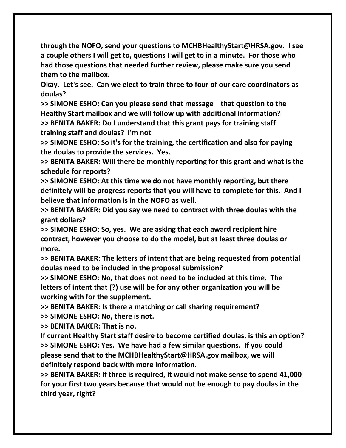**through the NOFO, send your questions to MCHBHealthyStart@HRSA.gov. I see a couple others I will get to, questions I will get to in a minute. For those who had those questions that needed further review, please make sure you send them to the mailbox.** 

**Okay. Let's see. Can we elect to train three to four of our care coordinators as doulas?** 

**>> SIMONE ESHO: Can you please send that message that question to the Healthy Start mailbox and we will follow up with additional information? >> BENITA BAKER: Do I understand that this grant pays for training staff training staff and doulas? I'm not** 

**>> SIMONE ESHO: So it's for the training, the certification and also for paying the doulas to provide the services. Yes.**

**>> BENITA BAKER: Will there be monthly reporting for this grant and what is the schedule for reports?**

**>> SIMONE ESHO: At this time we do not have monthly reporting, but there definitely will be progress reports that you will have to complete for this. And I believe that information is in the NOFO as well.**

**>> BENITA BAKER: Did you say we need to contract with three doulas with the grant dollars?**

**>> SIMONE ESHO: So, yes. We are asking that each award recipient hire contract, however you choose to do the model, but at least three doulas or more.**

**>> BENITA BAKER: The letters of intent that are being requested from potential doulas need to be included in the proposal submission?**

**>> SIMONE ESHO: No, that does not need to be included at this time. The letters of intent that (?) use will be for any other organization you will be working with for the supplement.**

**>> BENITA BAKER: Is there a matching or call sharing requirement?**

**>> SIMONE ESHO: No, there is not.**

**>> BENITA BAKER: That is no.**

**If current Healthy Start staff desire to become certified doulas, is this an option? >> SIMONE ESHO: Yes. We have had a few similar questions. If you could please send that to the MCHBHealthyStart@HRSA.gov mailbox, we will definitely respond back with more information.**

**>> BENITA BAKER: If three is required, it would not make sense to spend 41,000 for your first two years because that would not be enough to pay doulas in the third year, right?**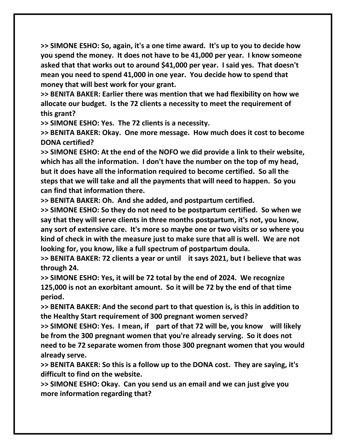**>> SIMONE ESHO: So, again, it's a one time award. It's up to you to decide how you spend the money. It does not have to be 41,000 per year. I know someone asked that that works out to around \$41,000 per year. I said yes. That doesn't mean you need to spend 41,000 in one year. You decide how to spend that money that will best work for your grant.**

**>> BENITA BAKER: Earlier there was mention that we had flexibility on how we allocate our budget. Is the 72 clients a necessity to meet the requirement of this grant?**

**>> SIMONE ESHO: Yes. The 72 clients is a necessity.** 

**>> BENITA BAKER: Okay. One more message. How much does it cost to become DONA certified?**

**>> SIMONE ESHO: At the end of the NOFO we did provide a link to their website, which has all the information. I don't have the number on the top of my head, but it does have all the information required to become certified. So all the steps that we will take and all the payments that will need to happen. So you can find that information there.**

**>> BENITA BAKER: Oh. And she added, and postpartum certified.**

**>> SIMONE ESHO: So they do not need to be postpartum certified. So when we say that they will serve clients in three months postpartum, it's not, you know, any sort of extensive care. It's more so maybe one or two visits or so where you kind of check in with the measure just to make sure that all is well. We are not looking for, you know, like a full spectrum of postpartum doula.**

**>> BENITA BAKER: 72 clients a year or until it says 2021, but I believe that was through 24.**

**>> SIMONE ESHO: Yes, it will be 72 total by the end of 2024. We recognize 125,000 is not an exorbitant amount. So it will be 72 by the end of that time period.**

**>> BENITA BAKER: And the second part to that question is, is this in addition to the Healthy Start requirement of 300 pregnant women served?**

**>> SIMONE ESHO: Yes. I mean, if part of that 72 will be, you know will likely be from the 300 pregnant women that you're already serving. So it does not need to be 72 separate women from those 300 pregnant women that you would already serve.**

**>> BENITA BAKER: So this is a follow up to the DONA cost. They are saying, it's difficult to find on the website.**

**>> SIMONE ESHO: Okay. Can you send us an email and we can just give you more information regarding that?**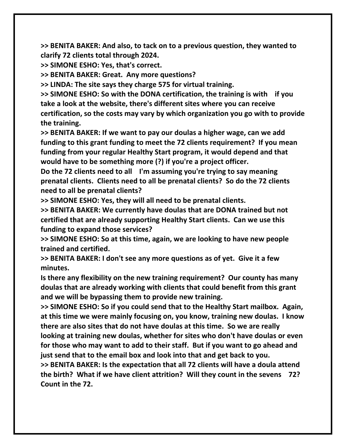**>> BENITA BAKER: And also, to tack on to a previous question, they wanted to clarify 72 clients total through 2024.**

**>> SIMONE ESHO: Yes, that's correct.**

**>> BENITA BAKER: Great. Any more questions?**

**>> LINDA: The site says they charge 575 for virtual training.**

**>> SIMONE ESHO: So with the DONA certification, the training is with if you take a look at the website, there's different sites where you can receive certification, so the costs may vary by which organization you go with to provide the training.**

**>> BENITA BAKER: If we want to pay our doulas a higher wage, can we add funding to this grant funding to meet the 72 clients requirement? If you mean funding from your regular Healthy Start program, it would depend and that would have to be something more (?) if you're a project officer.**

**Do the 72 clients need to all I'm assuming you're trying to say meaning prenatal clients. Clients need to all be prenatal clients? So do the 72 clients need to all be prenatal clients?**

**>> SIMONE ESHO: Yes, they will all need to be prenatal clients.**

**>> BENITA BAKER: We currently have doulas that are DONA trained but not certified that are already supporting Healthy Start clients. Can we use this funding to expand those services?**

**>> SIMONE ESHO: So at this time, again, we are looking to have new people trained and certified.** 

**>> BENITA BAKER: I don't see any more questions as of yet. Give it a few minutes.** 

**Is there any flexibility on the new training requirement? Our county has many doulas that are already working with clients that could benefit from this grant and we will be bypassing them to provide new training.**

**>> SIMONE ESHO: So if you could send that to the Healthy Start mailbox. Again, at this time we were mainly focusing on, you know, training new doulas. I know there are also sites that do not have doulas at this time. So we are really** 

**looking at training new doulas, whether for sites who don't have doulas or even for those who may want to add to their staff. But if you want to go ahead and just send that to the email box and look into that and get back to you.**

**>> BENITA BAKER: Is the expectation that all 72 clients will have a doula attend the birth? What if we have client attrition? Will they count in the sevens 72? Count in the 72.**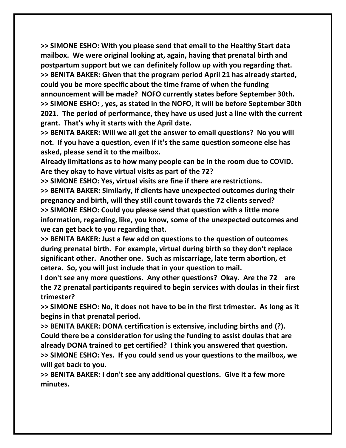**>> SIMONE ESHO: With you please send that email to the Healthy Start data mailbox. We were original looking at, again, having that prenatal birth and postpartum support but we can definitely follow up with you regarding that. >> BENITA BAKER: Given that the program period April 21 has already started, could you be more specific about the time frame of when the funding announcement will be made? NOFO currently states before September 30th. >> SIMONE ESHO: , yes, as stated in the NOFO, it will be before September 30th 2021. The period of performance, they have us used just a line with the current grant. That's why it starts with the April date.**

**>> BENITA BAKER: Will we all get the answer to email questions? No you will not. If you have a question, even if it's the same question someone else has asked, please send it to the mailbox.**

**Already limitations as to how many people can be in the room due to COVID. Are they okay to have virtual visits as part of the 72?**

**>> SIMONE ESHO: Yes, virtual visits are fine if there are restrictions.**

**>> BENITA BAKER: Similarly, if clients have unexpected outcomes during their pregnancy and birth, will they still count towards the 72 clients served? >> SIMONE ESHO: Could you please send that question with a little more information, regarding, like, you know, some of the unexpected outcomes and we can get back to you regarding that.**

**>> BENITA BAKER: Just a few add on questions to the question of outcomes during prenatal birth. For example, virtual during birth so they don't replace significant other. Another one. Such as miscarriage, late term abortion, et cetera. So, you will just include that in your question to mail.**

**I don't see any more questions. Any other questions? Okay. Are the 72 are the 72 prenatal participants required to begin services with doulas in their first trimester?**

**>> SIMONE ESHO: No, it does not have to be in the first trimester. As long as it begins in that prenatal period.** 

**>> BENITA BAKER: DONA certification is extensive, including births and (?). Could there be a consideration for using the funding to assist doulas that are already DONA trained to get certified? I think you answered that question. >> SIMONE ESHO: Yes. If you could send us your questions to the mailbox, we** 

**will get back to you.**

**>> BENITA BAKER: I don't see any additional questions. Give it a few more minutes.**